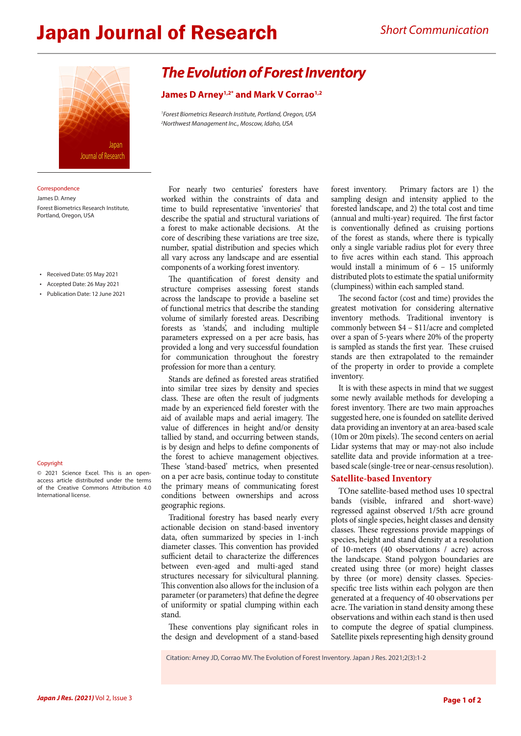# *Short Communication* Japan Journal of Research



Correspondence

James D. Arney Forest Biometrics Research Institute, Portland, Oregon, USA

- Received Date: 05 May 2021
- Accepted Date: 26 May 2021
- • Publication Date: 12 June 2021

#### **Copyright**

© 2021 Science Excel. This is an openaccess article distributed under the terms of the Creative Commons Attribution 4.0 International license.

# *The Evolution of Forest Inventory*

# James D Arney<sup>1,2\*</sup> and Mark V Corrao<sup>1,2</sup>

*1 Forest Biometrics Research Institute, Portland, Oregon, USA 2 Northwest Management Inc., Moscow, Idaho, USA*

For nearly two centuries' foresters have worked within the constraints of data and time to build representative 'inventories' that describe the spatial and structural variations of a forest to make actionable decisions. At the core of describing these variations are tree size, number, spatial distribution and species which all vary across any landscape and are essential components of a working forest inventory.

The quantification of forest density and structure comprises assessing forest stands across the landscape to provide a baseline set of functional metrics that describe the standing volume of similarly forested areas. Describing forests as 'stands', and including multiple parameters expressed on a per acre basis, has provided a long and very successful foundation for communication throughout the forestry profession for more than a century.

Stands are defined as forested areas stratified into similar tree sizes by density and species class. These are often the result of judgments made by an experienced field forester with the aid of available maps and aerial imagery. The value of differences in height and/or density tallied by stand, and occurring between stands, is by design and helps to define components of the forest to achieve management objectives. These 'stand-based' metrics, when presented on a per acre basis, continue today to constitute the primary means of communicating forest conditions between ownerships and across geographic regions.

Traditional forestry has based nearly every actionable decision on stand-based inventory data, often summarized by species in 1-inch diameter classes. This convention has provided sufficient detail to characterize the differences between even-aged and multi-aged stand structures necessary for silvicultural planning. This convention also allows for the inclusion of a parameter (or parameters) that define the degree of uniformity or spatial clumping within each stand.

These conventions play significant roles in the design and development of a stand-based forest inventory. Primary factors are 1) the sampling design and intensity applied to the forested landscape, and 2) the total cost and time (annual and multi-year) required. The first factor is conventionally defined as cruising portions of the forest as stands, where there is typically only a single variable radius plot for every three to five acres within each stand. This approach would install a minimum of 6 – 15 uniformly distributed plots to estimate the spatial uniformity (clumpiness) within each sampled stand.

The second factor (cost and time) provides the greatest motivation for considering alternative inventory methods. Traditional inventory is commonly between \$4 – \$11/acre and completed over a span of 5-years where 20% of the property is sampled as stands the first year. These cruised stands are then extrapolated to the remainder of the property in order to provide a complete inventory.

It is with these aspects in mind that we suggest some newly available methods for developing a forest inventory. There are two main approaches suggested here, one is founded on satellite derived data providing an inventory at an area-based scale (10m or 20m pixels). The second centers on aerial Lidar systems that may or may-not also include satellite data and provide information at a treebased scale (single-tree or near-census resolution).

# **Satellite-based Inventory**

TOne satellite-based method uses 10 spectral bands (visible, infrared and short-wave) regressed against observed 1/5th acre ground plots of single species, height classes and density classes. These regressions provide mappings of species, height and stand density at a resolution of 10-meters (40 observations / acre) across the landscape. Stand polygon boundaries are created using three (or more) height classes by three (or more) density classes. Speciesspecific tree lists within each polygon are then generated at a frequency of 40 observations per acre. The variation in stand density among these observations and within each stand is then used to compute the degree of spatial clumpiness. Satellite pixels representing high density ground

Citation: Arney JD, Corrao MV. The Evolution of Forest Inventory. Japan J Res. 2021;2(3):1-2